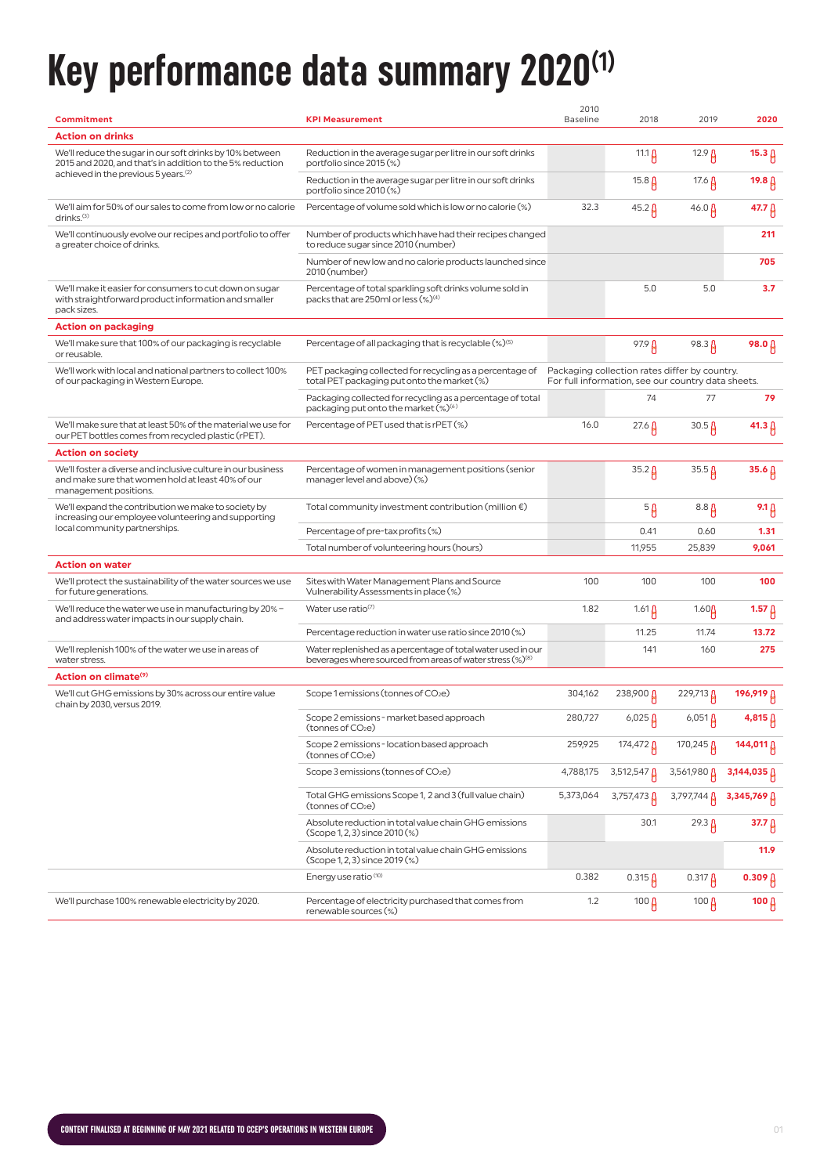# **Key performance data summary 2020 (1)**

| Commitment                                                                                                                                 | <b>KPI Measurement</b>                                                                                                                | 2010<br><b>Baseline</b> | 2018                  | 2019                                                                                                | 2020              |
|--------------------------------------------------------------------------------------------------------------------------------------------|---------------------------------------------------------------------------------------------------------------------------------------|-------------------------|-----------------------|-----------------------------------------------------------------------------------------------------|-------------------|
| <b>Action on drinks</b>                                                                                                                    |                                                                                                                                       |                         |                       |                                                                                                     |                   |
| We'll reduce the sugar in our soft drinks by 10% between<br>2015 and 2020, and that's in addition to the 5% reduction                      | Reduction in the average sugar per litre in our soft drinks<br>portfolio since 2015 (%)                                               |                         | 11.1 $\beta$          | $12.9 \,\mu$                                                                                        | $15.3 \upbeta$    |
| achieved in the previous 5 years. <sup>(2)</sup>                                                                                           | Reduction in the average sugar per litre in our soft drinks<br>portfolio since 2010 (%)                                               |                         | 15.8 $\beta$          | 17.6 $\beta$                                                                                        | 19.8 $\beta$      |
| We'll aim for 50% of our sales to come from low or no calorie<br>drinks. <sup>(3)</sup>                                                    | Percentage of volume sold which is low or no calorie (%)                                                                              | 32.3                    | $45.2 \,\mu$          | $46.0 \,\mu$                                                                                        | 47.7 A            |
| We'll continuously evolve our recipes and portfolio to offer<br>a greater choice of drinks.                                                | Number of products which have had their recipes changed<br>to reduce sugar since 2010 (number)                                        |                         |                       |                                                                                                     | 211               |
|                                                                                                                                            | Number of new low and no calorie products launched since<br>2010 (number)                                                             |                         |                       |                                                                                                     | 705               |
| We'll make it easier for consumers to cut down on sugar<br>with straightforward product information and smaller<br>pack sizes.             | Percentage of total sparkling soft drinks volume sold in<br>packs that are 250ml or less (%) <sup>(4)</sup>                           |                         | 5.0                   | 5.0                                                                                                 | 3.7               |
| Action on packaging                                                                                                                        |                                                                                                                                       |                         |                       |                                                                                                     |                   |
| We'll make sure that 100% of our packaging is recyclable<br>or reusable.                                                                   | Percentage of all packaging that is recyclable (%) <sup>(5)</sup>                                                                     |                         | 97.9 <sub>0</sub>     | $98.3 \mu$                                                                                          | 98.0 A            |
| We'll work with local and national partners to collect 100%<br>of our packaging in Western Europe.                                         | PET packaging collected for recycling as a percentage of<br>total PET packaging put onto the market (%)                               |                         |                       | Packaging collection rates differ by country.<br>For full information, see our country data sheets. |                   |
|                                                                                                                                            | Packaging collected for recycling as a percentage of total<br>packaging put onto the market (%) <sup>(6)</sup>                        |                         | 74                    | 77                                                                                                  | 79                |
| We'll make sure that at least 50% of the material we use for<br>our PET bottles comes from recycled plastic (rPET).                        | Percentage of PET used that is rPET (%)                                                                                               | 16.0                    | $27.6 \,\mathrm{\AA}$ | $30.5\,\mu$                                                                                         | 41.3 $\beta$      |
| <b>Action on society</b>                                                                                                                   |                                                                                                                                       |                         |                       |                                                                                                     |                   |
| We'll foster a diverse and inclusive culture in our business<br>and make sure that women hold at least 40% of our<br>management positions. | Percentage of women in management positions (senior<br>manager level and above) (%)                                                   |                         | $35.2 \upbeta$        | $35.5\beta$                                                                                         | $35.6 \,\beta$    |
| We'll expand the contribution we make to society by<br>increasing our employee volunteering and supporting                                 | Total community investment contribution (million $\epsilon$ )                                                                         |                         | 5 <sub>β</sub>        | $8.8\,\mu$                                                                                          | $9.1 \uparrow$    |
| local community partnerships.                                                                                                              | Percentage of pre-tax profits (%)                                                                                                     |                         | 0.41                  | 0.60                                                                                                | 1.31              |
|                                                                                                                                            | Total number of volunteering hours (hours)                                                                                            |                         | 11,955                | 25,839                                                                                              | 9,061             |
| <b>Action on water</b>                                                                                                                     |                                                                                                                                       |                         |                       |                                                                                                     |                   |
| We'll protect the sustainability of the water sources we use<br>for future generations.                                                    | Sites with Water Management Plans and Source<br>Vulnerability Assessments in place (%)                                                | 100                     | 100                   | 100                                                                                                 | 100               |
| We'll reduce the water we use in manufacturing by 20% -<br>and address water impacts in our supply chain.                                  | Water use ratio(7)                                                                                                                    | 1.82                    | $1.61\beta$           | $1.60\text{g}$                                                                                      | 1.57 $\beta$      |
|                                                                                                                                            | Percentage reduction in water use ratio since 2010 (%)                                                                                |                         | 11.25                 | 11.74                                                                                               | 13.72             |
| We'll replenish 100% of the water we use in areas of<br>water stress.                                                                      | Water replenished as a percentage of total water used in our<br>beverages where sourced from areas of water stress (%) <sup>(8)</sup> |                         | 141                   | 160                                                                                                 | 275               |
| Action on climate <sup>(9)</sup>                                                                                                           |                                                                                                                                       |                         |                       |                                                                                                     |                   |
| We'll cut GHG emissions by 30% across our entire value<br>chain by 2030, versus 2019.                                                      | Scope 1 emissions (tonnes of CO <sub>2</sub> e)                                                                                       | 304,162                 | 238,900 <b>A</b>      | 229,713 <mark>A</mark>                                                                              | 196,919 A         |
|                                                                                                                                            | Scope 2 emissions - market based approach<br>(tonnes of CO <sub>2</sub> e)                                                            | 280.727                 | $6,025 \, \beta$      | $6,051 \,\mu$                                                                                       | $4,815 \uparrow$  |
|                                                                                                                                            | Scope 2 emissions - location based approach<br>(tonnes of CO <sub>2</sub> e)                                                          | 259,925                 | $174,472 \upbeta$     | 170,245 $\mu$                                                                                       | 144,011 A         |
|                                                                                                                                            | Scope 3 emissions (tonnes of CO <sub>2</sub> e)                                                                                       | 4,788,175               | 3,512,547             | 3,561,980                                                                                           | 3,144,035         |
|                                                                                                                                            | Total GHG emissions Scope 1, 2 and 3 (full value chain)<br>(tonnes of CO <sub>2</sub> e)                                              | 5,373,064               | $3,757,473$ $\beta$   | 3,797,744 A                                                                                         | 3,345,769 A       |
|                                                                                                                                            | Absolute reduction in total value chain GHG emissions<br>(Scope 1, 2, 3) since 2010 (%)                                               |                         | 30.1                  | $29.3 \mu$                                                                                          | 37.7 <sup>0</sup> |
|                                                                                                                                            | Absolute reduction in total value chain GHG emissions<br>(Scope 1, 2, 3) since 2019 (%)                                               |                         |                       |                                                                                                     | 11.9              |
|                                                                                                                                            | Energy use ratio <sup>(10)</sup>                                                                                                      | 0.382                   | $0.315 \,\mu$         | $0.317 \beta$                                                                                       | 0.309 $\upbeta$   |
| We'll purchase 100% renewable electricity by 2020.                                                                                         | Percentage of electricity purchased that comes from<br>renewable sources (%)                                                          | 1.2                     | 100 $\beta$           | 100 $\mu$                                                                                           | 100 $\beta$       |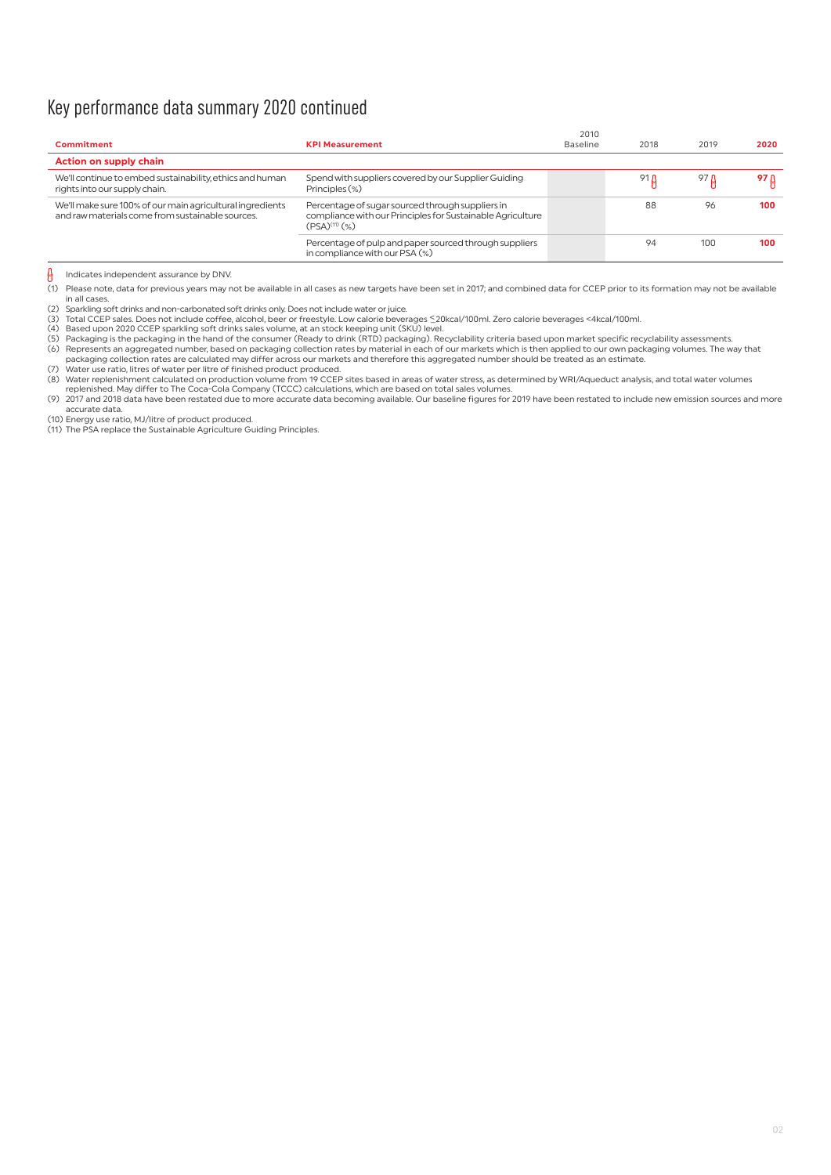## Key performance data summary 2020 continued

| Commitment                                                                                                    | <b>KPI Measurement</b>                                                                                                                  | 2010<br>Baseline | 2018        | 2019 | 2020 |
|---------------------------------------------------------------------------------------------------------------|-----------------------------------------------------------------------------------------------------------------------------------------|------------------|-------------|------|------|
| <b>Action on supply chain</b>                                                                                 |                                                                                                                                         |                  |             |      |      |
| We'll continue to embed sustainability, ethics and human<br>rights into our supply chain.                     | Spend with suppliers covered by our Supplier Guiding<br>Principles (%)                                                                  |                  | 91 <b>A</b> | 97 A | 97 B |
| We'll make sure 100% of our main agricultural ingredients<br>and raw materials come from sustainable sources. | Percentage of sugar sourced through suppliers in<br>compliance with our Principles for Sustainable Agriculture<br>$(PSA)^{(11)}$ $(\%)$ |                  | 88          | 96   | 100  |
|                                                                                                               | Percentage of pulp and paper sourced through suppliers<br>in compliance with our PSA (%)                                                |                  | 94          | 100  | 100  |

#### $\theta$ Indicates independent assurance by DNV.

(1) Please note, data for previous years may not be available in all cases as new targets have been set in 2017; and combined data for CCEP prior to its formation may not be available in all cases.

(2) Sparkling soft drinks and non-carbonated soft drinks only. Does not include water or juice.

(3) Total CCEP sales. Does not include coffee, alcohol, beer or freestyle. Low calorie beverages <mark>≤20kcal/100ml. Zero calorie beverages <4kcal/100ml.</mark><br>(4) Based upon 2020 CCEP sparkling soft drinks sales volume, at an st

(5) Packaging is the packaging in the hand of the consumer (Ready to drink (RTD) packaging). Recyclability criteria based upon market specific recyclability assessments.<br>(6) Represents an aggregated number, based on packag packaging collection rates are calculated may differ across our markets and therefore this aggregated number should be treated as an estimate. (7) Water use ratio, litres of water per litre of finished product produced.

(8) Water replenishment calculated on production volume from 19 CCEP sites based in areas of water stress, as determined by WRI/Aqueduct analysis, and total water volumes<br>replenished. May differ to The Coca-Cola Company (T

(9) 2017 and 2018 data have been restated due to more accurate data becoming available. Our baseline figures for 2019 have been restated to include new emission sources and more accurate data.

(10) Energy use ratio, MJ/litre of product produced. (11) The PSA replace the Sustainable Agriculture Guiding Principles.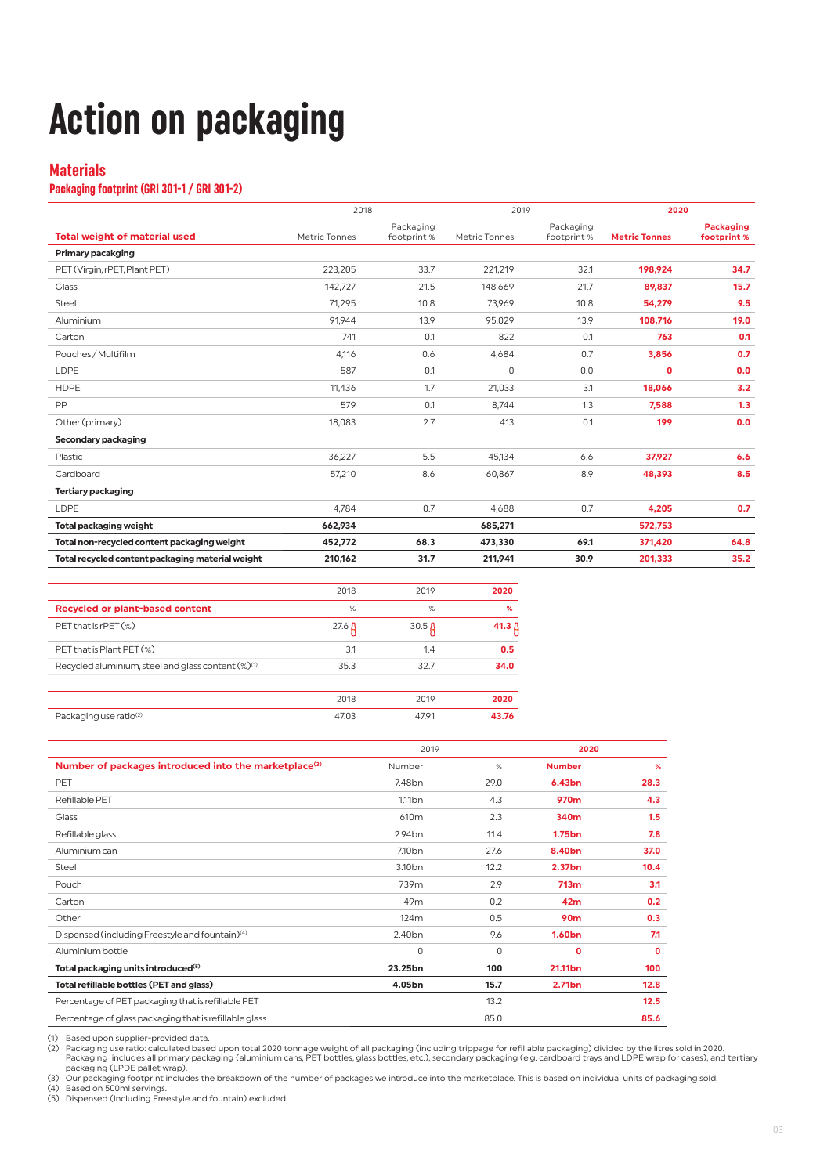# **Action on packaging**

## **Materials**

### **Packaging footprint (GRI 301-1 / GRI 301-2)**

|                                                  | 2018          |                          | 2019          |                         | 2020                 |                                 |
|--------------------------------------------------|---------------|--------------------------|---------------|-------------------------|----------------------|---------------------------------|
| <b>Total weight of material used</b>             | Metric Tonnes | Packaging<br>footprint % | Metric Tonnes | Packaging<br>footprint% | <b>Metric Tonnes</b> | <b>Packaging</b><br>footprint % |
| <b>Primary pacakging</b>                         |               |                          |               |                         |                      |                                 |
| PET (Virgin, rPET, Plant PET)                    | 223,205       | 33.7                     | 221,219       | 32.1                    | 198.924              | 34.7                            |
| Glass                                            | 142,727       | 21.5                     | 148,669       | 21.7                    | 89,837               | 15.7                            |
| Steel                                            | 71,295        | 10.8                     | 73,969        | 10.8                    | 54,279               | 9.5                             |
| Aluminium                                        | 91.944        | 13.9                     | 95.029        | 13.9                    | 108,716              | 19.0                            |
| Carton                                           | 741           | 0.1                      | 822           | 0.1                     | 763                  | 0.1                             |
| Pouches / Multifilm                              | 4,116         | 0.6                      | 4,684         | 0.7                     | 3,856                | 0.7                             |
| LDPE                                             | 587           | 0.1                      | 0             | 0.0                     | $\mathbf{0}$         | 0.0                             |
| <b>HDPE</b>                                      | 11,436        | 1.7                      | 21,033        | 3.1                     | 18,066               | 3.2                             |
| PP                                               | 579           | 0.1                      | 8.744         | 1.3                     | 7,588                | 1.3                             |
| Other (primary)                                  | 18,083        | 2.7                      | 413           | 0.1                     | 199                  | 0.0                             |
| Secondary packaging                              |               |                          |               |                         |                      |                                 |
| Plastic                                          | 36,227        | 5.5                      | 45,134        | 6.6                     | 37,927               | 6.6                             |
| Cardboard                                        | 57,210        | 8.6                      | 60,867        | 8.9                     | 48,393               | 8.5                             |
| <b>Tertiary packaging</b>                        |               |                          |               |                         |                      |                                 |
| <b>LDPE</b>                                      | 4.784         | 0.7                      | 4.688         | 0.7                     | 4,205                | 0.7                             |
| <b>Total packaging weight</b>                    | 662,934       |                          | 685,271       |                         | 572,753              |                                 |
| Total non-recycled content packaging weight      | 452,772       | 68.3                     | 473,330       | 69.1                    | 371,420              | 64.8                            |
| Total recycled content packaging material weight | 210,162       | 31.7                     | 211,941       | 30.9                    | 201,333              | 35.2                            |

|                                                          | 2018         | 2019         | 2020         |
|----------------------------------------------------------|--------------|--------------|--------------|
| Recycled or plant-based content                          | %            | %            | %            |
| PET that is rPET (%)                                     | $27.6 \,\mu$ | $30.5 \,\mu$ | 41.3 $\beta$ |
| PET that is Plant PET (%)                                | 3.1          | 1.4          | 0.5          |
| Recycled aluminium, steel and glass content $(\%)^{(1)}$ | 35.3         | 32.7         | 34.0         |
|                                                          | 2018         | 2019         | 2020         |
| Packaging use ratio <sup>(2)</sup>                       | 47.03        | 47.91        | 43.76        |

|                                                                   | 2019               |      | 2020               |      |
|-------------------------------------------------------------------|--------------------|------|--------------------|------|
| Number of packages introduced into the marketplace <sup>(3)</sup> | Number             | %    | <b>Number</b>      | %    |
| PET                                                               | 7.48 <sub>bn</sub> | 29.0 | 6.43bn             | 28.3 |
| Refillable PET                                                    | 1.11 <sub>bn</sub> | 4.3  | 970 <sub>m</sub>   | 4.3  |
| Glass                                                             | 610 <sub>m</sub>   | 2.3  | 340m               | 1.5  |
| Refillable glass                                                  | 2.94 <sub>bn</sub> | 11.4 | 1.75bn             | 7.8  |
| Aluminium can                                                     | 7.10 <sub>bn</sub> | 27.6 | 8.40 <sub>bn</sub> | 37.0 |
| Steel                                                             | 3.10 <sub>bn</sub> | 12.2 | 2.37bn             | 10.4 |
| Pouch                                                             | 739m               | 2.9  | 713m               | 3.1  |
| Carton                                                            | 49m                | 0.2  | 42 <sub>m</sub>    | 0.2  |
| Other                                                             | 124m               | 0.5  | 90 <sub>m</sub>    | 0.3  |
| Dispensed (including Freestyle and fountain) <sup>(4)</sup>       | 2.40 <sub>bn</sub> | 9.6  | 1.60 <sub>bn</sub> | 7.1  |
| Aluminium bottle                                                  | 0                  | 0    | 0                  | 0    |
| Total packaging units introduced <sup>(5)</sup>                   | 23.25bn            | 100  | 21.11bn            | 100  |
| Total refillable bottles (PET and glass)                          | 4.05bn             | 15.7 | 2.71bn             | 12.8 |
| Percentage of PET packaging that is refillable PET                |                    | 13.2 |                    | 12.5 |
| Percentage of glass packaging that is refillable glass            |                    | 85.0 |                    | 85.6 |

(1) Based upon supplier-provided data.

(2) Packaging use ratio: calculated based upon total 2020 tonnage weight of all packaging (including trippage for refillable packaging) divided by the litres sold in 2020.<br>Packaging includes all primary packaging (aluminiu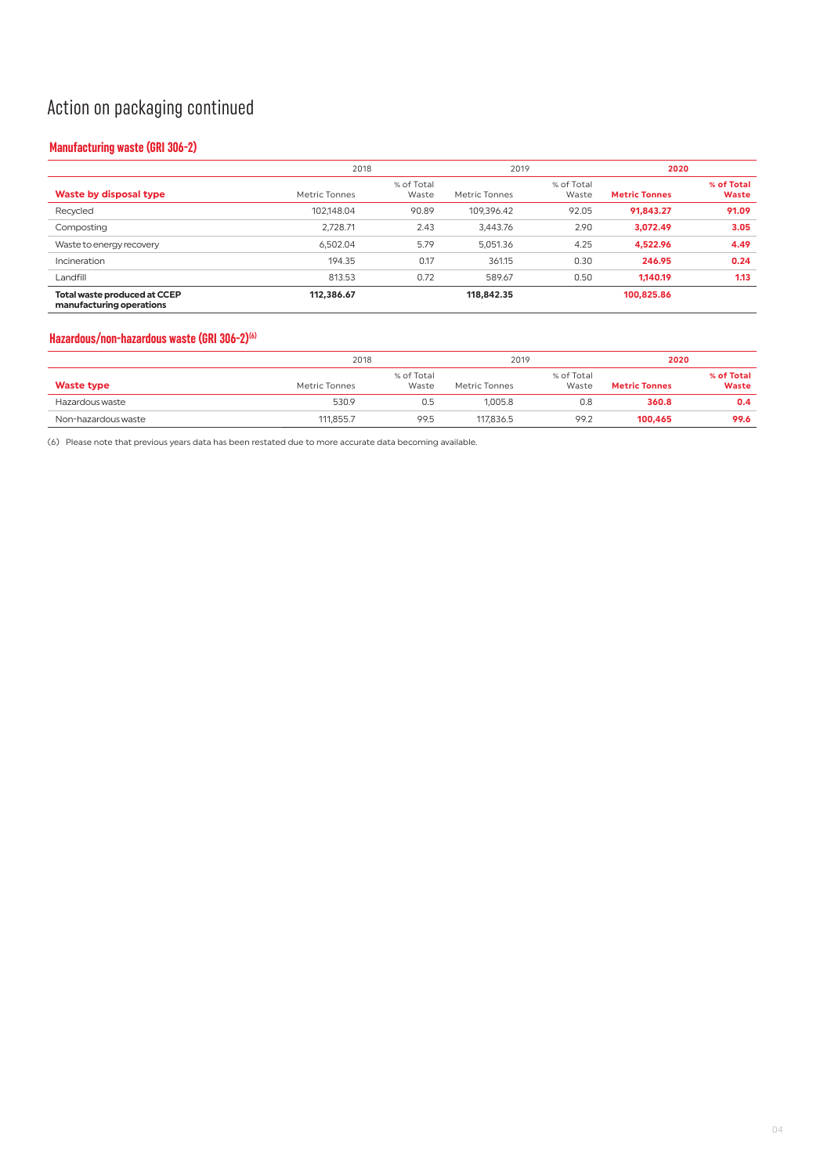## Action on packaging continued

## **Manufacturing waste (GRI 306-2)**

|                                                                 |               | 2018                |                      | 2019                |                      | 2020                       |  |
|-----------------------------------------------------------------|---------------|---------------------|----------------------|---------------------|----------------------|----------------------------|--|
| Waste by disposal type                                          | Metric Tonnes | % of Total<br>Waste | <b>Metric Tonnes</b> | % of Total<br>Waste | <b>Metric Tonnes</b> | % of Total<br><b>Waste</b> |  |
| Recycled                                                        | 102,148.04    | 90.89               | 109.396.42           | 92.05               | 91.843.27            | 91.09                      |  |
| Composting                                                      | 2.728.71      | 2.43                | 3,443.76             | 2.90                | 3,072.49             | 3.05                       |  |
| Waste to energy recovery                                        | 6.502.04      | 5.79                | 5.051.36             | 4.25                | 4.522.96             | 4.49                       |  |
| Incineration                                                    | 194.35        | 0.17                | 361.15               | 0.30                | 246.95               | 0.24                       |  |
| Landfill                                                        | 813.53        | 0.72                | 589.67               | 0.50                | 1.140.19             | 1.13                       |  |
| <b>Total waste produced at CCEP</b><br>manufacturing operations | 112,386.67    |                     | 118,842.35           |                     | 100.825.86           |                            |  |

## **Hazardous/non-hazardous waste (GRI 306-2)(6)**

|                     |               | 2018                |               | 2019                |                      | 2020                       |
|---------------------|---------------|---------------------|---------------|---------------------|----------------------|----------------------------|
| <b>Waste type</b>   | Metric Tonnes | % of Total<br>Waste | Metric Tonnes | % of Total<br>Waste | <b>Metric Tonnes</b> | % of Total<br><b>Waste</b> |
| Hazardous waste     | 530.9         | 0.5                 | 1.005.8       | 0.8                 | 360.8                | 0.4                        |
| Non-hazardous waste | 111,855.7     | 99.5                | 117.836.5     | 99.2                | 100.465              | 99.6                       |

(6) Please note that previous years data has been restated due to more accurate data becoming available.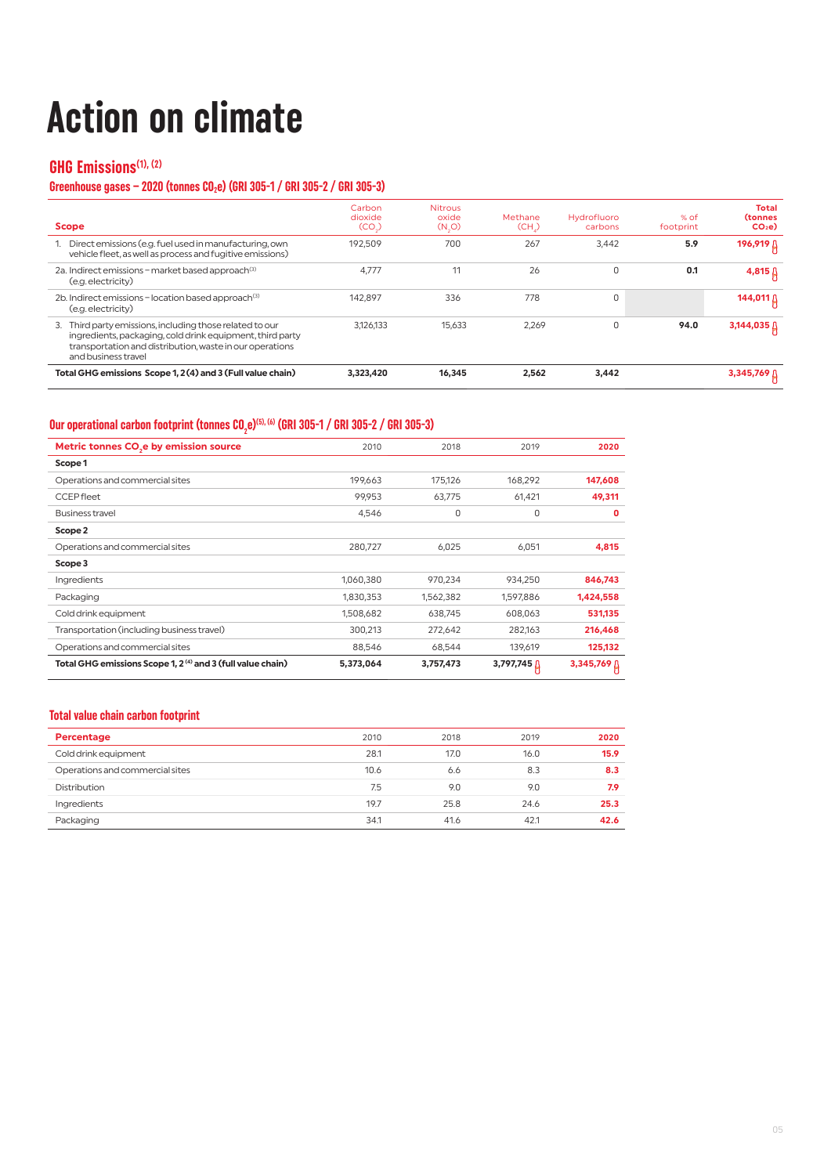# **Action on climate**

## **GHG Emissions(1), (2)**

## Greenhouse gases – 2020 (tonnes CO<sub>2</sub>e) (GRI 305-1 / GRI 305-2 / GRI 305-3)

| <b>Scope</b>                                                                                                                                                                                             | Carbon<br>dioxide<br>(CO) | <b>Nitrous</b><br>oxide<br>$(N_0)$ | Methane<br>(CH.) | <b>Hydrofluoro</b><br>carbons | $%$ of<br>footprint | Total<br><b>(tonnes)</b><br>CO <sub>2</sub> e |
|----------------------------------------------------------------------------------------------------------------------------------------------------------------------------------------------------------|---------------------------|------------------------------------|------------------|-------------------------------|---------------------|-----------------------------------------------|
| 1. Direct emissions (e.g. fuel used in manufacturing, own<br>vehicle fleet, as well as process and fugitive emissions)                                                                                   | 192.509                   | 700                                | 267              | 3.442                         | 5.9                 | 196,919 <sup>1</sup>                          |
| 2a. Indirect emissions - market based approach <sup>(3)</sup><br>(e.g. electricity)                                                                                                                      | 4.777                     | 11                                 | 26               | $\Omega$                      | 0.1                 | $4,815$ $\uparrow$                            |
| 2b. Indirect emissions - location based approach <sup>(3)</sup><br>(e.g. electricity)                                                                                                                    | 142.897                   | 336                                | 778              | $\Omega$                      |                     | 144,011 ∆                                     |
| 3. Third party emissions, including those related to our<br>ingredients, packaging, cold drink equipment, third party<br>transportation and distribution, waste in our operations<br>and business travel | 3.126.133                 | 15.633                             | 2.269            | $\Omega$                      | 94.0                | 3,144,035 $\beta$                             |
| Total GHG emissions Scope 1, 2(4) and 3 (Full value chain)                                                                                                                                               | 3,323,420                 | 16,345                             | 2.562            | 3,442                         |                     | $3,345,769$ $\alpha$                          |

## Our operational carbon footprint (tonnes CO<sub>2</sub>e)<sup>(5), (6)</sup> (GRI 305-1 / GRI 305-2 / GRI 305-3)

| Metric tonnes CO <sub>s</sub> e by emission source                     | 2010      | 2018      | 2019               | 2020        |
|------------------------------------------------------------------------|-----------|-----------|--------------------|-------------|
| Scope 1                                                                |           |           |                    |             |
| Operations and commercial sites                                        | 199.663   | 175,126   | 168,292            | 147,608     |
| <b>CCEPfleet</b>                                                       | 99,953    | 63,775    | 61,421             | 49,311      |
| <b>Business travel</b>                                                 | 4,546     | 0         | $\mathbf 0$        | O           |
| Scope 2                                                                |           |           |                    |             |
| Operations and commercial sites                                        | 280,727   | 6,025     | 6,051              | 4,815       |
| Scope 3                                                                |           |           |                    |             |
| Ingredients                                                            | 1,060,380 | 970,234   | 934,250            | 846,743     |
| Packaging                                                              | 1,830,353 | 1,562,382 | 1,597,886          | 1,424,558   |
| Cold drink equipment                                                   | 1,508,682 | 638,745   | 608,063            | 531,135     |
| Transportation (including business travel)                             | 300,213   | 272,642   | 282,163            | 216,468     |
| Operations and commercial sites                                        | 88,546    | 68,544    | 139,619            | 125,132     |
| Total GHG emissions Scope 1, 2 <sup>(4)</sup> and 3 (full value chain) | 5,373,064 | 3,757,473 | 3,797,745 <u>[</u> | 3,345,769 & |

### **Total value chain carbon footprint**

| Percentage                      | 2010 | 2018 | 2019 | 2020 |
|---------------------------------|------|------|------|------|
| Cold drink equipment            | 28.1 | 17.0 | 16.0 | 15.9 |
| Operations and commercial sites | 10.6 | 6.6  | 8.3  | 8.3  |
| Distribution                    | 7.5  | 9.0  | 9.0  | 7.9  |
| Ingredients                     | 19.7 | 25.8 | 24.6 | 25.3 |
| Packaging                       | 34.1 | 41.6 | 42.1 | 42.6 |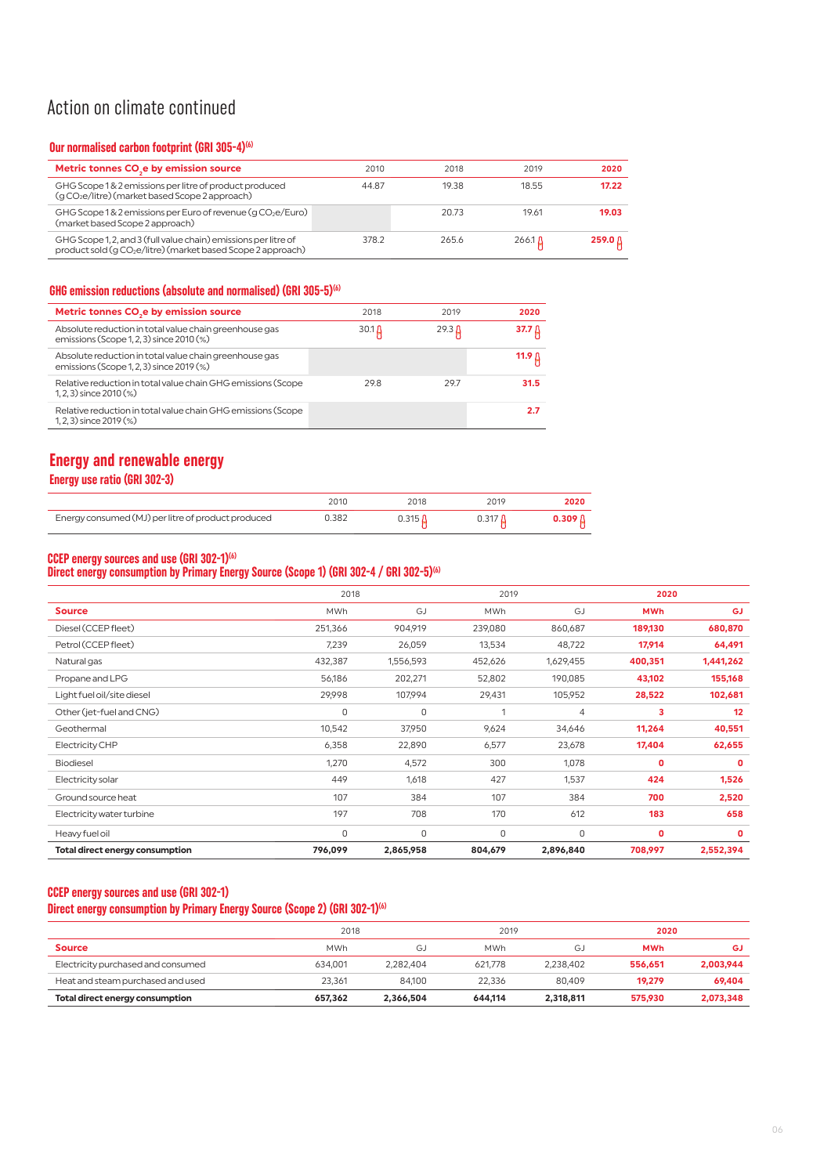## Action on climate continued

### **Our normalised carbon footprint (GRI 305-4)(6)**

| Metric tonnes CO <sub>s</sub> e by emission source                                                                                          | 2010  | 2018  | 2019           | 2020               |
|---------------------------------------------------------------------------------------------------------------------------------------------|-------|-------|----------------|--------------------|
| GHG Scope 1& 2 emissions per litre of product produced<br>(g CO <sub>2</sub> e/litre) (market based Scope 2 approach)                       | 44.87 | 19.38 | 1855           | 17.22              |
| GHG Scope 1 & 2 emissions per Euro of revenue (g CO <sub>2</sub> e/Euro)<br>(market based Scope 2 approach)                                 |       | 20.73 | 19.61          | 19.03              |
| GHG Scope 1, 2, and 3 (full value chain) emissions per litre of<br>product sold (g CO <sub>2</sub> e/litre) (market based Scope 2 approach) | 378.2 | 265.6 | 266.1 $\Delta$ | 259.0 <sub>0</sub> |

## **GHG emission reductions (absolute and normalised) (GRI 305-5)(6)**

| Metric tonnes CO <sub>2</sub> e by emission source                                                 | 2018       | 2019              | 2020   |
|----------------------------------------------------------------------------------------------------|------------|-------------------|--------|
| Absolute reduction in total value chain greenhouse gas<br>emissions (Scope 1, 2, 3) since 2010 (%) | 30.1 $\mu$ | 29.3 <sub>h</sub> | 37.7 A |
| Absolute reduction in total value chain greenhouse gas<br>emissions (Scope 1, 2, 3) since 2019 (%) |            |                   | 11.9 A |
| Relative reduction in total value chain GHG emissions (Scope<br>$1, 2, 3$ ) since $2010$ (%)       | 298        | 297               | 31.5   |
| Relative reduction in total value chain GHG emissions (Scope<br>$(1, 2, 3)$ since $2019$ $(\%)$    |            |                   | 27     |

## **Energy and renewable energy**

**Energy use ratio (GRI 302-3)**

|                                                    | 2010  | 2018                  | 2019 | 2020                  |
|----------------------------------------------------|-------|-----------------------|------|-----------------------|
| Energy consumed (MJ) per litre of product produced | 0.382 | 0.315 $\rm\mathit{A}$ |      | $0.309\,\mathrm{\AA}$ |

### **CCEP energy sources and use (GRI 302-1)(6)**

### **Direct energy consumption by Primary Energy Source (Scope 1) (GRI 302-4 / GRI 302-5)(6)**

|                                        | 2018        |           | 2019       |                | 2020       |           |
|----------------------------------------|-------------|-----------|------------|----------------|------------|-----------|
| <b>Source</b>                          | <b>MWh</b>  | GJ        | <b>MWh</b> | GJ             | <b>MWh</b> | <b>GJ</b> |
| Diesel (CCEP fleet)                    | 251,366     | 904,919   | 239,080    | 860,687        | 189,130    | 680,870   |
| Petrol (CCEP fleet)                    | 7,239       | 26,059    | 13,534     | 48,722         | 17,914     | 64,491    |
| Natural gas                            | 432,387     | 1,556,593 | 452,626    | 1,629,455      | 400,351    | 1,441,262 |
| Propane and LPG                        | 56,186      | 202,271   | 52,802     | 190,085        | 43,102     | 155,168   |
| Light fuel oil/site diesel             | 29,998      | 107,994   | 29,431     | 105,952        | 28,522     | 102,681   |
| Other (jet-fuel and CNG)               | $\Omega$    | 0         | 1          | $\overline{4}$ | 3          | 12        |
| Geothermal                             | 10,542      | 37,950    | 9,624      | 34,646         | 11,264     | 40,551    |
| Electricity CHP                        | 6,358       | 22,890    | 6,577      | 23,678         | 17,404     | 62,655    |
| <b>Biodiesel</b>                       | 1,270       | 4,572     | 300        | 1,078          | 0          | 0         |
| Electricity solar                      | 449         | 1,618     | 427        | 1,537          | 424        | 1,526     |
| Ground source heat                     | 107         | 384       | 107        | 384            | 700        | 2,520     |
| Electricity water turbine              | 197         | 708       | 170        | 612            | 183        | 658       |
| Heavy fuel oil                         | $\mathbf 0$ | 0         | 0          | $\Omega$       | 0          | 0         |
| <b>Total direct energy consumption</b> | 796,099     | 2,865,958 | 804,679    | 2,896,840      | 708,997    | 2,552,394 |

#### **CCEP energy sources and use (GRI 302-1)**

## Direct energy consumption by Primary Energy Source (Scope 2) (GRI 302-1)<sup>(6)</sup>

|                                    | 2018       |           | 2019    |           | 2020       |           |
|------------------------------------|------------|-----------|---------|-----------|------------|-----------|
| <b>Source</b>                      | <b>MWh</b> | G.        | MWh     | G.        | <b>MWh</b> | GJ        |
| Electricity purchased and consumed | 634.001    | 2.282.404 | 621.778 | 2.238.402 | 556.651    | 2,003,944 |
| Heat and steam purchased and used  | 23.361     | 84.100    | 22.336  | 80.409    | 19.279     | 69.404    |
| Total direct energy consumption    | 657,362    | 2.366.504 | 644.114 | 2,318,811 | 575,930    | 2,073,348 |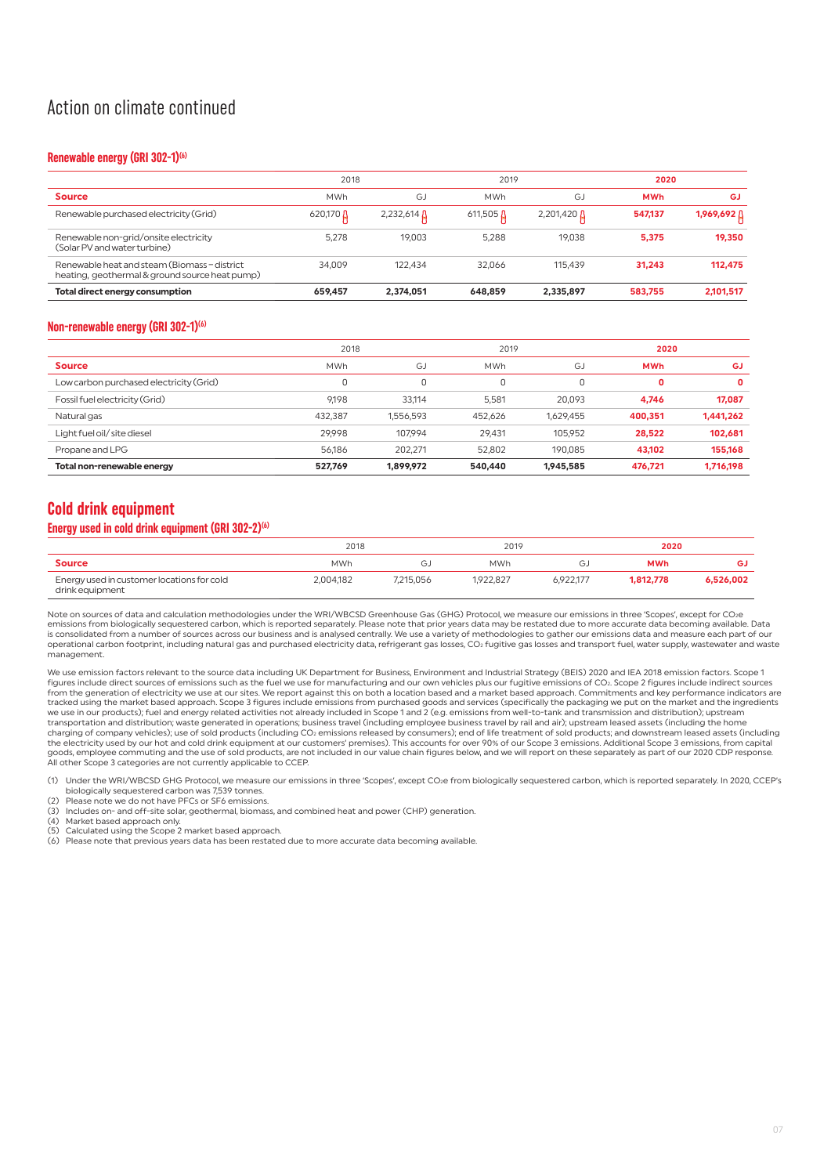## Action on climate continued

#### **Renewable energy (GRI 302-1)(6)**

|                                                                                              | 2018       |                      | 2019               |                          | 2020       |             |
|----------------------------------------------------------------------------------------------|------------|----------------------|--------------------|--------------------------|------------|-------------|
| <b>Source</b>                                                                                | <b>MWh</b> | GJ                   | <b>MWh</b>         | GJ                       | <b>MWh</b> | GJ          |
| Renewable purchased electricity (Grid)                                                       | 620,170 A  | $2,232,614$ $\Omega$ | $611,505$ $\Omega$ | $2,201,420 \,\text{\AA}$ | 547.137    | 1,969,692 A |
| Renewable non-grid/onsite electricity<br>(Solar PV and water turbine)                        | 5.278      | 19.003               | 5.288              | 19.038                   | 5.375      | 19.350      |
| Renewable heat and steam (Biomass-district<br>heating, geothermal & ground source heat pump) | 34.009     | 122.434              | 32.066             | 115.439                  | 31.243     | 112.475     |
| <b>Total direct energy consumption</b>                                                       | 659.457    | 2.374.051            | 648.859            | 2.335.897                | 583.755    | 2,101,517   |

#### **Non-renewable energy (GRI 302-1)(6)**

|                                         | 2018       |           |            | 2019      |            | 2020      |  |
|-----------------------------------------|------------|-----------|------------|-----------|------------|-----------|--|
| <b>Source</b>                           | <b>MWh</b> | GJ        | <b>MWh</b> | G.        | <b>MWh</b> | GJ        |  |
| Low carbon purchased electricity (Grid) |            | 0         | υ          |           | 0          | 0         |  |
| Fossil fuel electricity (Grid)          | 9.198      | 33.114    | 5.581      | 20.093    | 4.746      | 17.087    |  |
| Natural gas                             | 432.387    | 1.556.593 | 452.626    | 1,629,455 | 400,351    | 1,441,262 |  |
| Light fuel oil/ site diesel             | 29.998     | 107.994   | 29.431     | 105.952   | 28.522     | 102.681   |  |
| Propane and LPG                         | 56.186     | 202.271   | 52.802     | 190.085   | 43.102     | 155,168   |  |
| Total non-renewable energy              | 527.769    | 1,899,972 | 540,440    | 1,945,585 | 476.721    | 1,716,198 |  |

## **Cold drink equipment**

### **Energy used in cold drink equipment (GRI 302-2)(6)**

| 2018                                                          |            | 2019      |            | 2020      |            |           |
|---------------------------------------------------------------|------------|-----------|------------|-----------|------------|-----------|
| <b>Source</b>                                                 | <b>MWh</b> | G.        | <b>MWh</b> | $\sim$    | <b>MWh</b> | GJ        |
| Energy used in customer locations for cold<br>drink equipment | 2.004.182  | 7.215.056 | 1.922.827  | 6.922.177 | 1.812.778  | 6.526.002 |

Note on sources of data and calculation methodologies under the WRI/WBCSD Greenhouse Gas (GHG) Protocol, we measure our emissions in three 'Scopes', except for CO<sub>2</sub>e emissions from biologically sequestered carbon, which is reported separately. Please note that prior years data may be restated due to more accurate data becoming available. Data<br>is consolidated from a number of sources ac operational carbon footprint, including natural gas and purchased electricity data, refrigerant gas losses, CO2 fugitive gas losses and transport fuel, water supply, wastewater and waste management.

We use emission factors relevant to the source data including UK Department for Business, Environment and Industrial Strategy (BEIS) 2020 and IEA 2018 emission factors. Scope 1<br>figures include direct sources of emissions s from the generation of electricity we use at our sites. We report against this on both a location based and a market based approach. Commitments and key performance indicators are<br>tracked using the market based approach. S we use in our products); fuel and energy related activities not already included in Scope 1 and 2 (e.g. emissions from well-to-tank and transmission and distribution); upstream transportation and distribution; waste generated in operations; business travel (including employee business travel by rail and air); upstream leased assets (including the home<br>charging of company vehicles); use of sold pr the electricity used by our hot and cold drink equipment at our customers' premises). This accounts for over 90% of our Scope 3 emissions. Additional Scope 3 emissions, from capital<br>goods, employee commuting and the use of All other Scope 3 categories are not currently applicable to CCEP.

(1) Under the WRI/WBCSD GHG Protocol, we measure our emissions in three 'Scopes', except CO2e from biologically sequestered carbon, which is reported separately. In 2020, CCEP's

biologically sequestered carbon was 7,539 tonnes. (2) Please note we do not have PFCs or SF6 emissions.

(3) Includes on- and off-site solar, geothermal, biomass, and combined heat and power (CHP) generation.<br>(4) Market based approach only.<br>(5) Calculated using the Scope 2 market based approach.

(4) Market based approach only. (5) Calculated using the Scope 2 market based approach.

(6) Please note that previous years data has been restated due to more accurate data becoming available.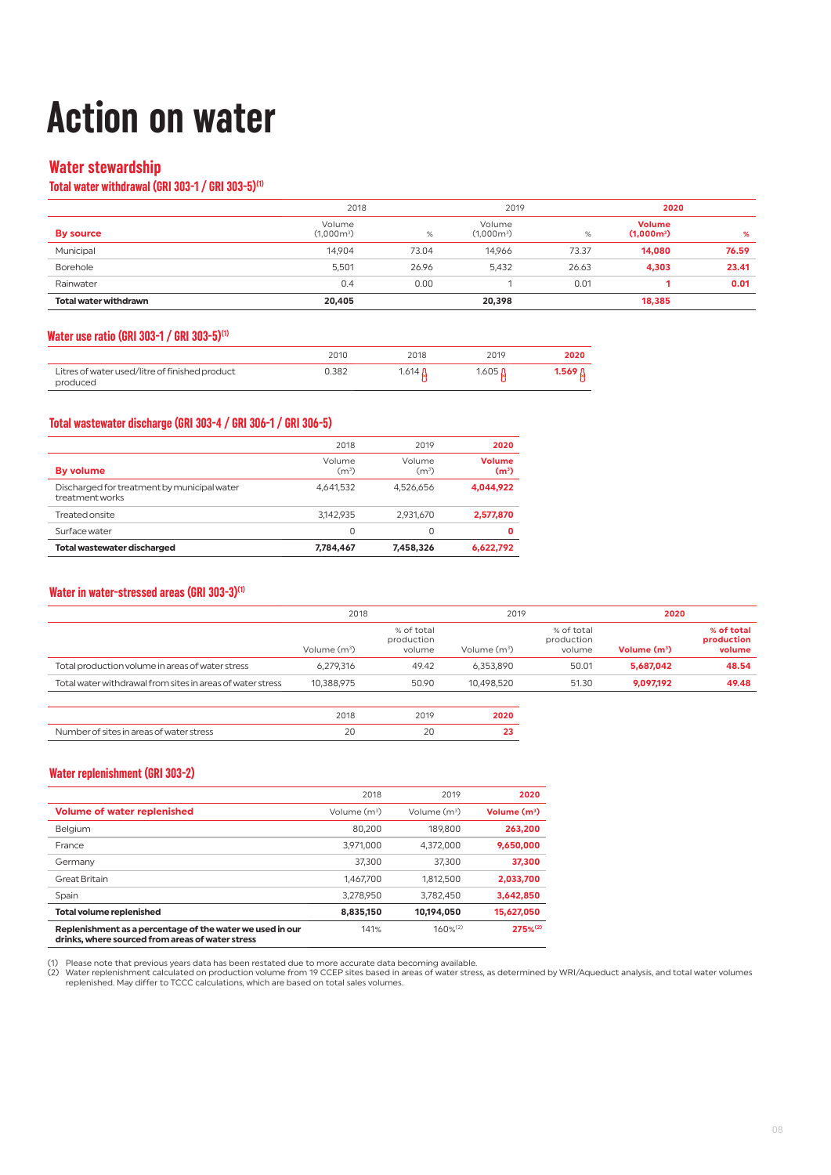## **Action on water**

## **Water stewardship**

### **Total water withdrawal (GRI 303-1 / GRI 303-5)(1)**

|                              | 2018                   |       | 2019                   |       | 2020                                    |       |
|------------------------------|------------------------|-------|------------------------|-------|-----------------------------------------|-------|
| By source                    | Volume<br>$(1.000m^3)$ | %     | Volume<br>$(1,000m^3)$ | %     | <b>Volume</b><br>(1.000m <sup>3</sup> ) | %     |
| Municipal                    | 14.904                 | 73.04 | 14.966                 | 73.37 | 14,080                                  | 76.59 |
| Borehole                     | 5,501                  | 26.96 | 5.432                  | 26.63 | 4,303                                   | 23.41 |
| Rainwater                    | 0.4                    | 0.00  |                        | 0.01  |                                         | 0.01  |
| <b>Total water withdrawn</b> | 20,405                 |       | 20,398                 |       | 18,385                                  |       |

#### **Water use ratio (GRI 303-1 / GRI 303-5)(1)**

|                                                            | 2010  | 2018    | 2019           | 2020 |
|------------------------------------------------------------|-------|---------|----------------|------|
| Litres of water used/litre of finished product<br>produced | 0.382 | 1.614 A | 1.605 <b>በ</b> |      |

#### **Total wastewater discharge (GRI 303-4 / GRI 306-1 / GRI 306-5)**

|                                                                | 2018                        | 2019              | 2020                               |
|----------------------------------------------------------------|-----------------------------|-------------------|------------------------------------|
| <b>By volume</b>                                               | Volume<br>(m <sup>3</sup> ) | Volume<br>$(m^3)$ | <b>Volume</b><br>(m <sup>3</sup> ) |
| Discharged for treatment by municipal water<br>treatment works | 4,641,532                   | 4.526.656         | 4,044,922                          |
| Treated onsite                                                 | 3.142.935                   | 2,931,670         | 2,577,870                          |
| Surface water                                                  | 0                           |                   |                                    |
| <b>Total wastewater discharged</b>                             | 7,784,467                   | 7,458,326         | 6,622,792                          |

#### **Water in water-stressed areas (GRI 303-3)(1)**

|                                                            | 2018           |                                    | 2019           |                                    | 2020           |                                    |
|------------------------------------------------------------|----------------|------------------------------------|----------------|------------------------------------|----------------|------------------------------------|
|                                                            | Volume $(m^3)$ | % of total<br>production<br>volume | Volume $(m^3)$ | % of total<br>production<br>volume | Volume $(m^3)$ | % of total<br>production<br>volume |
| Total production volume in areas of water stress           | 6.279.316      | 49.42                              | 6.353.890      | 50.01                              | 5.687.042      | 48.54                              |
| Total water withdrawal from sites in areas of water stress | 10.388.975     | 50.90                              | 10.498.520     | 51.30                              | 9.097.192      | 49.48                              |
|                                                            |                |                                    |                |                                    |                |                                    |

| ress<br>$11/2^+$ |  |  |
|------------------|--|--|
|                  |  |  |

#### **Water replenishment (GRI 303-2)**

|                                                                                                               | 2018           | 2019           | 2020                     |
|---------------------------------------------------------------------------------------------------------------|----------------|----------------|--------------------------|
| <b>Volume of water replenished</b>                                                                            | Volume $(m^3)$ | Volume $(m^3)$ | Volume (m <sup>3</sup> ) |
| Belgium                                                                                                       | 80.200         | 189.800        | 263,200                  |
| France                                                                                                        | 3.971.000      | 4.372.000      | 9,650,000                |
| Germany                                                                                                       | 37,300         | 37,300         | 37,300                   |
| Great Britain                                                                                                 | 1.467.700      | 1,812,500      | 2,033,700                |
| Spain                                                                                                         | 3,278,950      | 3.782.450      | 3,642,850                |
| <b>Total volume replenished</b>                                                                               | 8,835,150      | 10.194.050     | 15,627,050               |
| Replenishment as a percentage of the water we used in our<br>drinks, where sourced from areas of water stress | 141%           | $160\%^{(2)}$  | $275%^{(2)}$             |

(1) Please note that previous years data has been restated due to more accurate data becoming available.<br>(2) Water replenishment calculated on production volume from 19 CCEP sites based in areas of water stress, as determi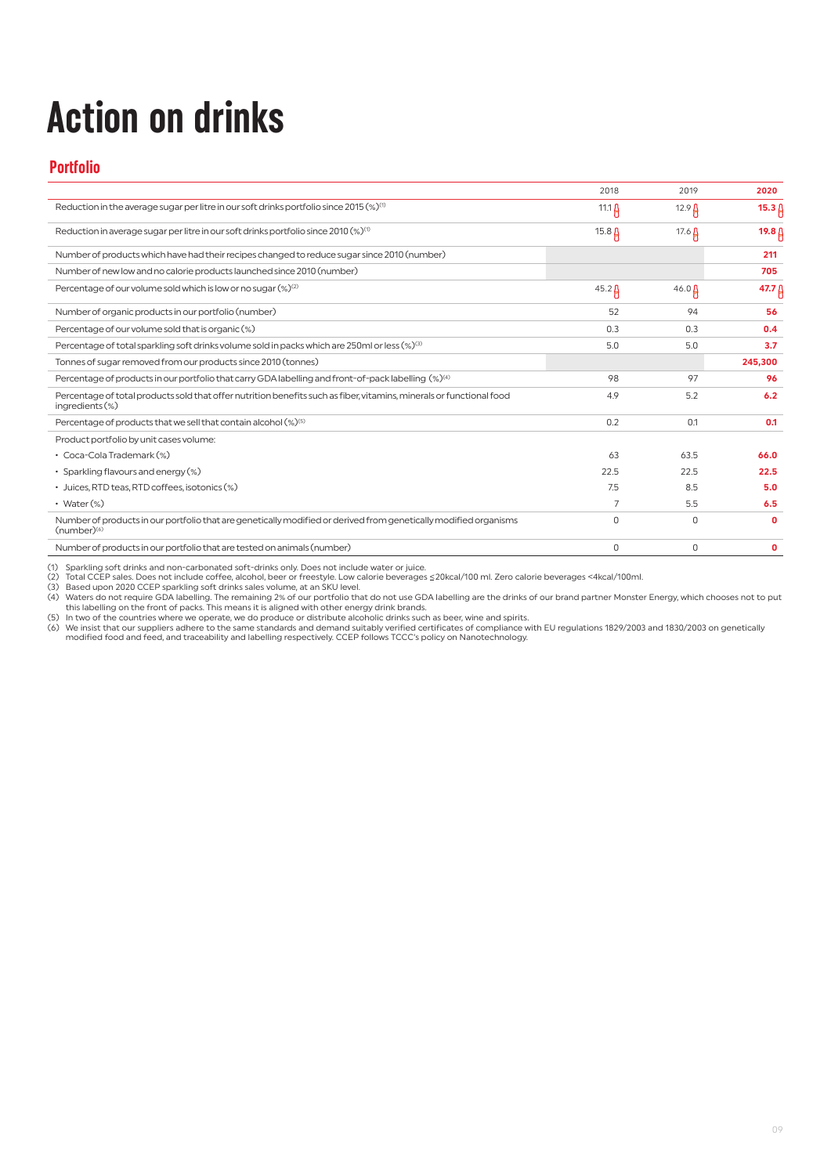# **Action on drinks**

## **Portfolio**

|                                                                                                                                             | 2018          | 2019          | 2020              |
|---------------------------------------------------------------------------------------------------------------------------------------------|---------------|---------------|-------------------|
| Reduction in the average sugar per litre in our soft drinks portfolio since 2015 $(\%)^{(1)}$                                               | 11.1 $\Delta$ | $12.9 \beta$  | $15.3 \uparrow$   |
| Reduction in average sugar per litre in our soft drinks portfolio since 2010 (%) <sup>(1)</sup>                                             | $15.8 \,\mu$  | 17.6 $\Delta$ | 19.8 ∆            |
| Number of products which have had their recipes changed to reduce sugar since 2010 (number)                                                 |               |               | 211               |
| Number of new low and no calorie products launched since 2010 (number)                                                                      |               |               | 705               |
| Percentage of our volume sold which is low or no sugar (%) <sup>(2)</sup>                                                                   | $45.2 \,\mu$  | $46.0 \,\mu$  | 47.7 <sup>0</sup> |
| Number of organic products in our portfolio (number)                                                                                        | 52            | 94            | 56                |
| Percentage of our volume sold that is organic (%)                                                                                           | 0.3           | 0.3           | 0.4               |
| Percentage of total sparkling soft drinks volume sold in packs which are 250ml or less (%) <sup>(3)</sup>                                   | 5.0           | 5.0           | 3.7               |
| Tonnes of sugar removed from our products since 2010 (tonnes)                                                                               |               |               | 245,300           |
| Percentage of products in our portfolio that carry GDA labelling and front-of-pack labelling (%) <sup>(4)</sup>                             | 98            | 97            | 96                |
| Percentage of total products sold that offer nutrition benefits such as fiber, vitamins, minerals or functional food<br>ingredients $(\%)$  | 4.9           | 5.2           | 6.2               |
| Percentage of products that we sell that contain alcohol (%) <sup>(5)</sup>                                                                 | 0.2           | 0.1           | 0.1               |
| Product portfolio by unit cases volume:                                                                                                     |               |               |                   |
| • Coca-Cola Trademark (%)                                                                                                                   | 63            | 63.5          | 66.0              |
| • Sparkling flavours and energy (%)                                                                                                         | 22.5          | 22.5          | 22.5              |
| • Juices, RTD teas, RTD coffees, isotonics (%)                                                                                              | 7.5           | 8.5           | 5.0               |
| • Water $(\%)$                                                                                                                              | 7             | 5.5           | 6.5               |
| Number of products in our portfolio that are genetically modified or derived from genetically modified organisms<br>(number) <sup>(6)</sup> | $\Omega$      | $\Omega$      | $\Omega$          |
| Number of products in our portfolio that are tested on animals (number)                                                                     | $\circ$       | 0             | 0                 |

(1) Sparkling soft drinks and non-carbonated soft-drinks only. Does not include water or juice.<br>
20 Total CCEP sparkling soft drinks and non-carbonated soft-drinks only. Does not include water or juice.<br>
20 Total CCEP spa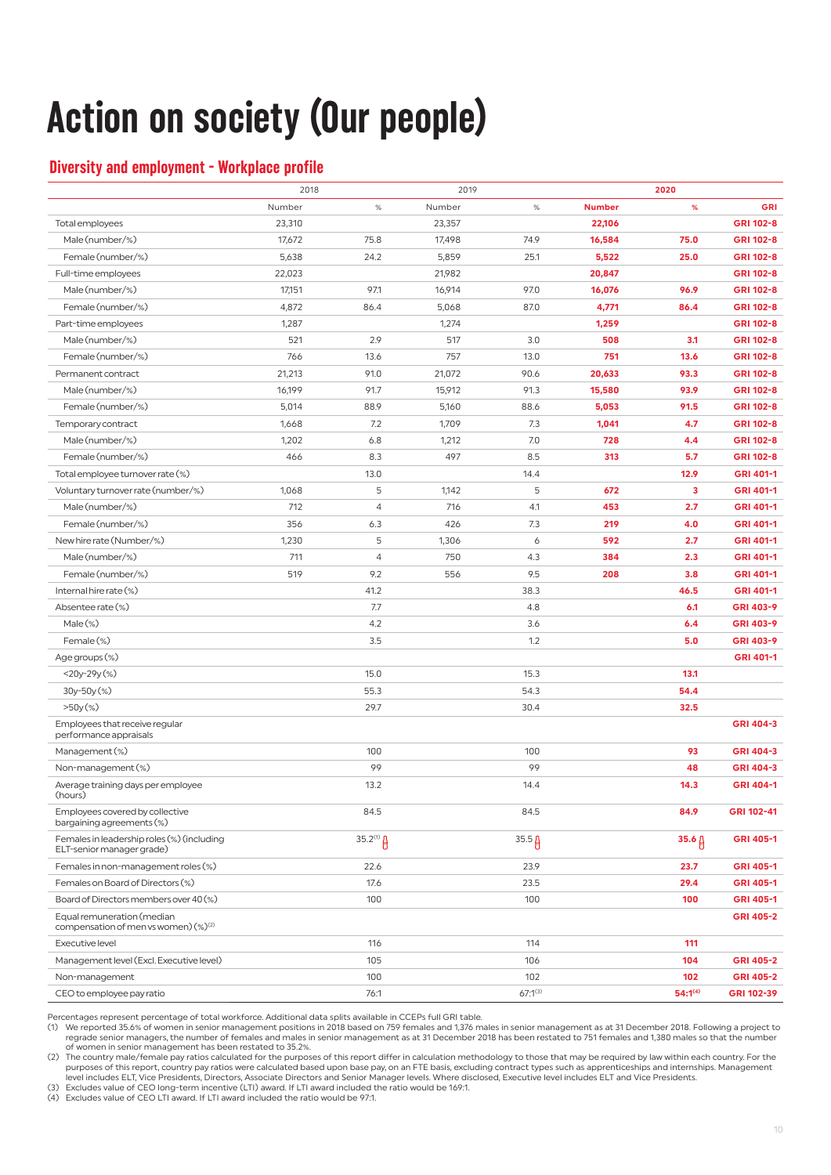## **Action on society (Our people)**

## **Diversity and employment - Workplace profile**

|                                                                                |        | 2018           |        | 2019         |               | 2020         |            |
|--------------------------------------------------------------------------------|--------|----------------|--------|--------------|---------------|--------------|------------|
|                                                                                | Number | $\%$           | Number | $\%$         | <b>Number</b> | %            | GRI        |
| Total employees                                                                | 23,310 |                | 23,357 |              | 22,106        |              | GRI 102-8  |
| Male (number/%)                                                                | 17,672 | 75.8           | 17,498 | 74.9         | 16,584        | 75.0         | GRI 102-8  |
| Female (number/%)                                                              | 5,638  | 24.2           | 5,859  | 25.1         | 5,522         | 25.0         | GRI 102-8  |
| Full-time employees                                                            | 22,023 |                | 21,982 |              | 20,847        |              | GRI 102-8  |
| Male (number/%)                                                                | 17,151 | 97.1           | 16,914 | 97.0         | 16,076        | 96.9         | GRI 102-8  |
| Female (number/%)                                                              | 4,872  | 86.4           | 5,068  | 87.0         | 4,771         | 86.4         | GRI 102-8  |
| Part-time employees                                                            | 1,287  |                | 1,274  |              | 1,259         |              | GRI 102-8  |
| Male (number/%)                                                                | 521    | 2.9            | 517    | 3.0          | 508           | 3.1          | GRI 102-8  |
| Female (number/%)                                                              | 766    | 13.6           | 757    | 13.0         | 751           | 13.6         | GRI 102-8  |
| Permanent contract                                                             | 21,213 | 91.0           | 21,072 | 90.6         | 20,633        | 93.3         | GRI 102-8  |
| Male (number/%)                                                                | 16,199 | 91.7           | 15,912 | 91.3         | 15,580        | 93.9         | GRI 102-8  |
| Female (number/%)                                                              | 5,014  | 88.9           | 5,160  | 88.6         | 5,053         | 91.5         | GRI 102-8  |
| Temporary contract                                                             | 1,668  | 7.2            | 1,709  | 7.3          | 1,041         | 4.7          | GRI 102-8  |
| Male (number/%)                                                                | 1,202  | 6.8            | 1,212  | 7.0          | 728           | 4.4          | GRI 102-8  |
| Female (number/%)                                                              | 466    | 8.3            | 497    | 8.5          | 313           | 5.7          | GRI 102-8  |
| Total employee turnover rate (%)                                               |        | 13.0           |        | 14.4         |               | 12.9         | GRI 401-1  |
| Voluntary turnover rate (number/%)                                             | 1,068  | 5              | 1,142  | 5            | 672           | 3            | GRI 401-1  |
| Male (number/%)                                                                | 712    | $\overline{4}$ | 716    | 4.1          | 453           | 2.7          | GRI 401-1  |
| Female (number/%)                                                              | 356    | 6.3            | 426    | 7.3          | 219           | 4.0          | GRI 401-1  |
| New hire rate (Number/%)                                                       | 1,230  | 5              | 1,306  | 6            | 592           | 2.7          | GRI 401-1  |
| Male (number/%)                                                                | 711    | $\overline{4}$ | 750    | 4.3          | 384           | 2.3          | GRI 401-1  |
| Female (number/%)                                                              | 519    | 9.2            | 556    | 9.5          | 208           | 3.8          | GRI 401-1  |
| Internal hire rate (%)                                                         |        | 41.2           |        | 38.3         |               | 46.5         | GRI 401-1  |
| Absentee rate (%)                                                              |        | 7.7            |        | 4.8          |               | 6.1          | GRI 403-9  |
| $Male$ $%$                                                                     |        | 4.2            |        | 3.6          |               | 6.4          | GRI 403-9  |
| Female (%)                                                                     |        | 3.5            |        | 1.2          |               | 5.0          | GRI 403-9  |
| Age groups (%)                                                                 |        |                |        |              |               |              | GRI 401-1  |
| $<$ 20y-29y $(\%)$                                                             |        | 15.0           |        | 15.3         |               | 13.1         |            |
| 30y-50y(%)                                                                     |        | 55.3           |        | 54.3         |               | 54.4         |            |
| $>50y$ (%)                                                                     |        | 29.7           |        | 30.4         |               | 32.5         |            |
| Employees that receive regular<br>performance appraisals                       |        |                |        |              |               |              | GRI 404-3  |
| Management (%)                                                                 |        | 100            |        | 100          |               | 93           | GRI 404-3  |
| Non-management (%)                                                             |        | 99             |        | 99           |               | 48           | GRI 404-3  |
| Average training days per employee<br>(hours)                                  |        | 13.2           |        | 14.4         |               | 14.3         | GRI 404-1  |
| Employees covered by collective<br>bargaining agreements (%)                   |        | 84.5           |        | 84.5         |               | 84.9         | GRI 102-41 |
| Females in leadership roles (%) (including<br>ELT-senior manager grade)        |        | $35.2^{(1)}$   |        | $35.5\beta$  |               | 35.6 $\beta$ | GRI 405-1  |
| Females in non-management roles (%)                                            |        | 22.6           |        | 23.9         |               | 23.7         | GRI 405-1  |
| Females on Board of Directors (%)                                              |        | 17.6           |        | 23.5         |               | 29.4         | GRI 405-1  |
| Board of Directors members over 40 (%)                                         |        | 100            |        | 100          |               | 100          | GRI 405-1  |
| Equal remuneration (median<br>compensation of men vs women) (%) <sup>(2)</sup> |        |                |        |              |               |              | GRI 405-2  |
| Executive level                                                                |        | 116            |        | 114          |               | 111          |            |
| Management level (Excl. Executive level)                                       |        | 105            |        | 106          |               | 104          | GRI 405-2  |
| Non-management                                                                 |        | 100            |        | 102          |               | 102          | GRI 405-2  |
| CEO to employee pay ratio                                                      |        | 76:1           |        | $67:1^{(3)}$ |               | $54:1^{(4)}$ | GRI 102-39 |

Percentages represent percentage of total workforce. Additional data splits available in CCEPs full GRI table.<br>(1) We reported 35.6% of women in senior management positions in 2018 based on 759 females and 1,376 males in regrade senior managers, the number of females and males in senior management as at 31 December 2018 has been restated to 751 females and 1,380 males so that the number of women in senior management has been restated to 35.2%.

(2) The country male/female pay ratios calculated for the purposes of this report differ in calculation methodology to those that may be required by law within each country. For the purposes of this report, country pay ratios were calculated based upon base pay, on an FTE basis, excluding contract types such as apprenticeships and internships. Management<br>Ievel includes ELT, Vice Presidents, Directors,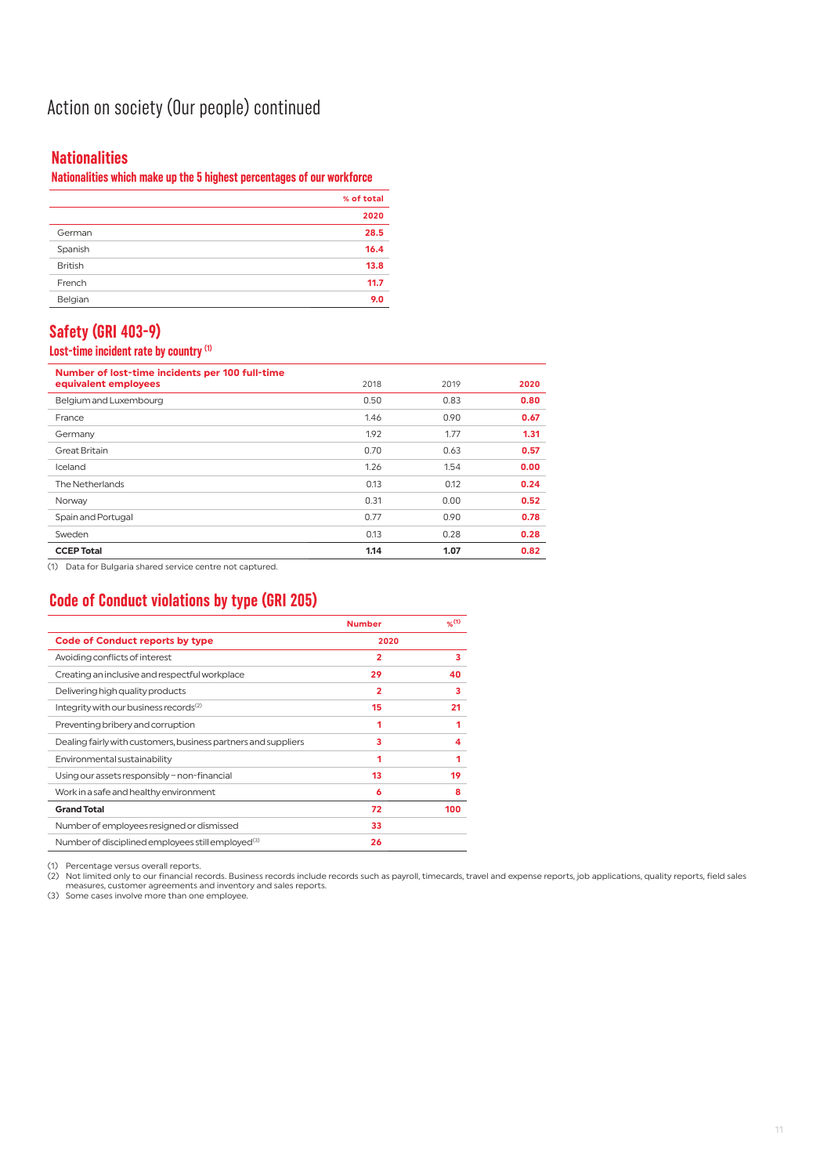## Action on society (Our people) continued

## **Nationalities**

## **Nationalities which make up the 5 highest percentages of our workforce**

|                | % of total |
|----------------|------------|
|                | 2020       |
| German         | 28.5       |
| Spanish        | 16.4       |
| <b>British</b> | 13.8       |
| French         | 11.7       |
| Belgian        | 9.0        |

## **Safety (GRI 403-9)**

### **Lost-time incident rate by country (1)**

| Number of lost-time incidents per 100 full-time |      |      |      |
|-------------------------------------------------|------|------|------|
| equivalent employees                            | 2018 | 2019 | 2020 |
| Belgium and Luxembourg                          | 0.50 | 0.83 | 0.80 |
| France                                          | 1.46 | 0.90 | 0.67 |
| Germany                                         | 1.92 | 1.77 | 1.31 |
| <b>Great Britain</b>                            | 0.70 | 0.63 | 0.57 |
| Iceland                                         | 1.26 | 1.54 | 0.00 |
| The Netherlands                                 | 0.13 | 0.12 | 0.24 |
| Norway                                          | 0.31 | 0.00 | 0.52 |
| Spain and Portugal                              | 0.77 | 0.90 | 0.78 |
| Sweden                                          | 0.13 | 0.28 | 0.28 |
| <b>CCEP Total</b>                               | 1.14 | 1.07 | 0.82 |

(1) Data for Bulgaria shared service centre not captured.

## **Code of Conduct violations by type (GRI 205)**

|                                                                | <b>Number</b>  | %(1) |
|----------------------------------------------------------------|----------------|------|
| Code of Conduct reports by type                                | 2020           |      |
| Avoiding conflicts of interest                                 | $\overline{2}$ | 3    |
| Creating an inclusive and respectful workplace                 | 29             | 40   |
| Delivering high quality products                               | 2              | 3    |
| Integrity with our business records <sup>(2)</sup>             | 15             | 21   |
| Preventing bribery and corruption                              |                |      |
| Dealing fairly with customers, business partners and suppliers | з              |      |
| Environmental sustainability                                   |                |      |
| Using our assets responsibly - non-financial                   | 13             | 19   |
| Work in a safe and healthy environment                         | 6              | 8    |
| <b>Grand Total</b>                                             | 72             | 100  |
| Number of employees resigned or dismissed                      | 33             |      |
| Number of disciplined employees still employed <sup>(3)</sup>  | 26             |      |

(1) Percentage versus overall reports.<br>(2) Not limited only to our financial records. Business records include records such as payroll, timecards, travel and expense reports, job applications, quality reports, field sales<br>